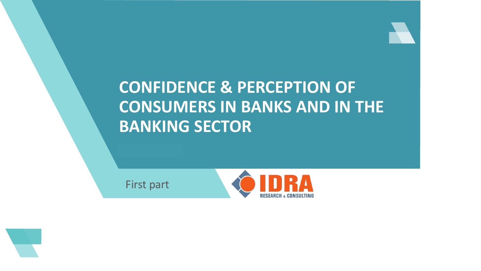## **CONFIDENCE & PERCEPTION OF CONSUMERS IN BANKS AND IN THE BANKING SECTOR**

First part



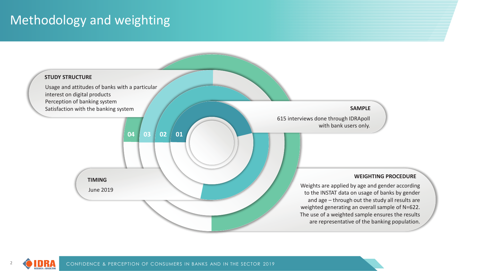## Methodology and weighting

2

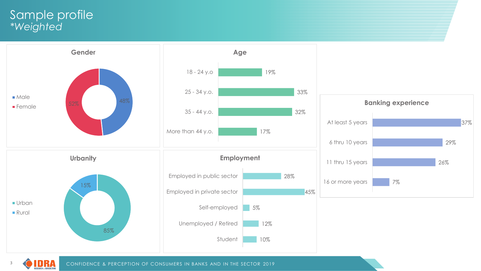### Sample profile *\*Weighted*

3

RESEARCH & CONSULTING



CONFIDENCE & PERCEPTION OF CONSUMERS IN BANKS AND IN THE SECTOR 2019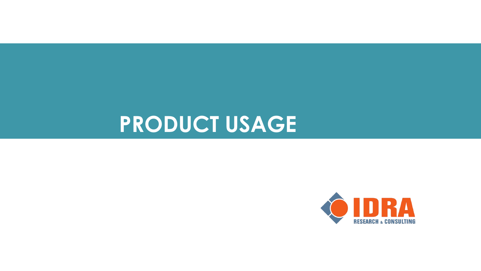## **PRODUCT USAGE**

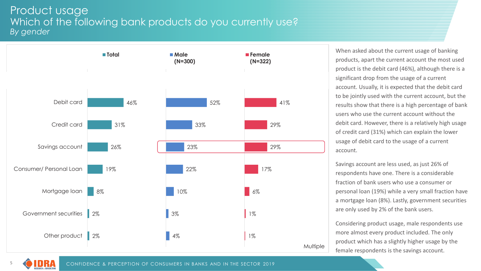#### Product usage Which of the following bank products do you currently use? *By gender*



When asked about the current usage of banking products, apart the current account the most used product is the debit card (46%), although there is a significant drop from the usage of a current account. Usually, it is expected that the debit card to be jointly used with the current account, but the results show that there is a high percentage of bank users who use the current account without the debit card. However, there is a relatively high usage of credit card (31%) which can explain the lower usage of debit card to the usage of a current account.

Savings account are less used, as just 26% of respondents have one. There is a considerable fraction of bank users who use a consumer or personal loan (19%) while a very small fraction have a mortgage loan (8%). Lastly, government securities are only used by 2% of the bank users.

Considering product usage, male respondents use more almost every product included. The only product which has a slightly higher usage by the female respondents is the savings account.

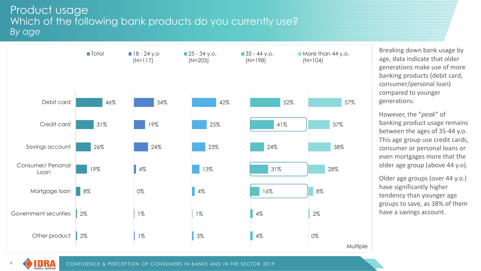#### Product usage Which of the following bank products do you currently use? *By age*



Breaking down bank usage by age, data indicate that older generations make use of more banking products (debit card, consumer/personal loan) compared to younger generations.

However, the "*peak*" of banking product usage remains between the ages of 35-44 y.o. This age group use credit cards, consumer or personal loans or even mortgages more that the older age group (above 44 y.o).

Older age groups (over 44 y.o.) have significantly higher tendency than younger age groups to save, as 38% of them have a savings account.



6

CONFIDENCE & PERCEPTION OF CONSUMERS IN BANKS AND IN THE SECTOR 2019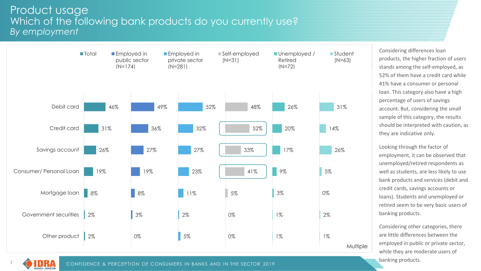#### Product usage Which of the following bank products do you currently use? *By employment*



UMA

7

CONFIDENCE & PERCEPTION OF CONSUMERS IN BANKS AND IN THE SECTOR 2019

banking products.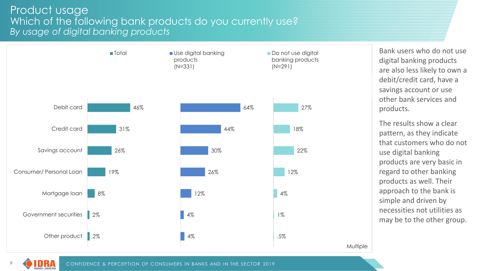#### Product usage Which of the following bank products do you currently use? *By usage of digital banking products*



Bank users who do not use digital banking products are also less likely to own a debit/credit card, have a savings account or use other bank services and products.

The results show a clear pattern, as they indicate that customers who do not use digital banking products are very basic in regard to other banking products as well. Their approach to the bank is simple and driven by necessities not utilities as may be to the other group.



Multiple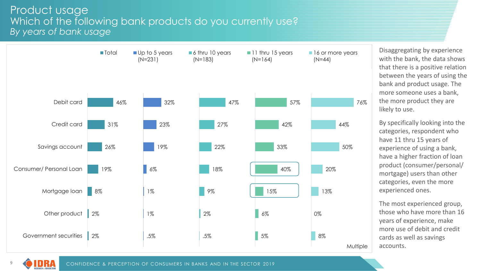#### Product usage Which of the following bank products do you currently use? *By years of bank usage*



Disaggregating by experience with the bank, the data shows that there is a positive relation between the years of using the bank and product usage. The more someone uses a bank, the more product they are likely to use.

By specifically looking into the categories, respondent who have 11 thru 15 years of experience of using a bank, have a higher fraction of loan product (consumer/personal/ mortgage) users than other categories, even the more experienced ones.

The most experienced group, those who have more than 16 years of experience, make more use of debit and credit cards as well as savings accounts.

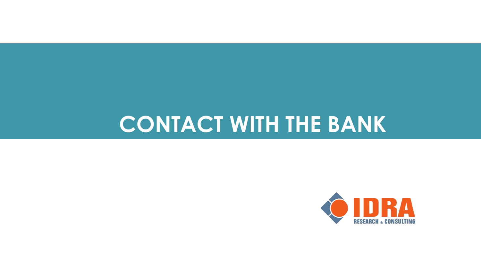# **CONTACT WITH THE BANK**

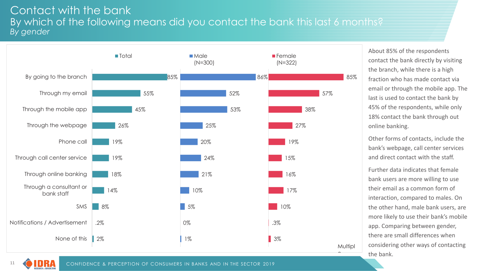#### Contact with the bank By which of the following means did you contact the bank this last 6 months? *By gender*



About 85% of the respondents contact the bank directly by visiting the branch, while there is a high fraction who has made contact via email or through the mobile app. The last is used to contact the bank by 45% of the respondents, while only 18% contact the bank through out online banking.

Other forms of contacts, include the bank's webpage, call center services and direct contact with the staff.

Further data indicates that female bank users are more willing to use their email as a common form of interaction, compared to males. On the other hand, male bank users, are more likely to use their bank's mobile app. Comparing between gender, there are small differences when considering other ways of contacting the bank.

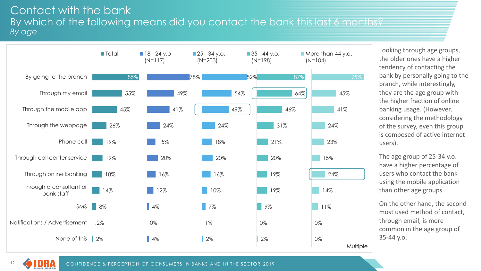#### Contact with the bank By which of the following means did you contact the bank this last 6 months? *By age*



Looking through age groups, the older ones have a higher tendency of contacting the bank by personally going to the branch, while interestingly, they are the age group with the higher fraction of online banking usage. (However, considering the methodology of the survey, even this group is composed of active internet users).

The age group of 25-34 y.o. have a higher percentage of users who contact the bank using the mobile application than other age groups.

On the other hand, the second most used method of contact, through email, is more common in the age group of 35-44 y.o.

CONFIDENCE & PERCEPTION OF CONSUMERS IN BANKS AND IN THE SECTOR 2019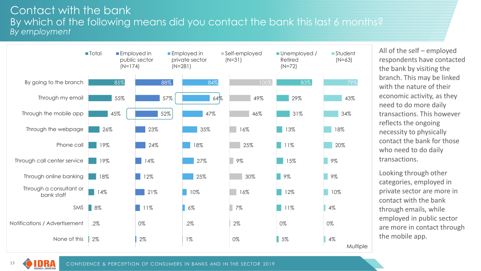#### Contact with the bank By which of the following means did you contact the bank this last 6 months? *By employment*



All of the self – employed respondents have contacted the bank by visiting the branch. This may be linked with the nature of their economic activity, as they need to do more daily transactions. This however reflects the ongoing necessity to physically contact the bank for those who need to do daily transactions.

Looking through other categories, employed in private sector are more in contact with the bank through emails, while employed in public sector are more in contact through the mobile app.

13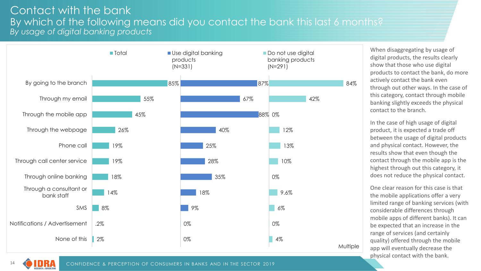#### Contact with the bank By which of the following means did you contact the bank this last 6 months? *By usage of digital banking products*



When disaggregating by usage of digital products, the results clearly show that those who use digital products to contact the bank, do more actively contact the bank even through out other ways. In the case of this category, contact through mobile banking slightly exceeds the physical contact to the branch.

In the case of high usage of digital product, it is expected a trade off between the usage of digital products and physical contact. However, the results show that even though the contact through the mobile app is the highest through out this category, it does not reduce the physical contact.

One clear reason for this case is that the mobile applications offer a very limited range of banking services (with considerable differences through mobile apps of different banks). It can be expected that an increase in the range of services (and certainly quality) offered through the mobile app will eventually decrease the physical contact with the bank.

14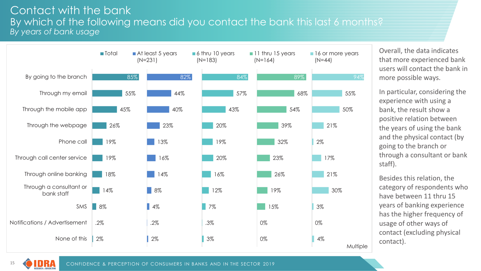#### Contact with the bank By which of the following means did you contact the bank this last 6 months? *By years of bank usage*



Overall, the data indicates that more experienced bank users will contact the bank in more possible ways.

In particular, considering the experience with using a bank, the result show a positive relation between the years of using the bank and the physical contact (by going to the branch or through a consultant or bank staff).

Besides this relation, the category of respondents who have between 11 thru 15 years of banking experience has the higher frequency of usage of other ways of contact (excluding physical contact).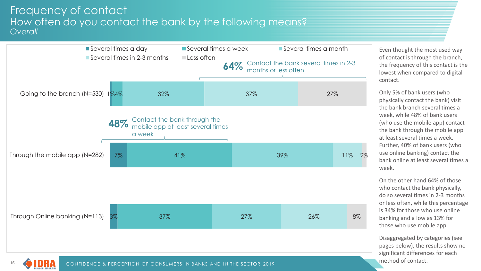#### Frequency of contact How often do you contact the bank by the following means? *Overall*



Even thought the most used way of contact is through the branch, the frequency of this contact is the lowest when compared to digital contact.

Only 5% of bank users (who physically contact the bank) visit the bank branch several times a week, while 48% of bank users (who use the mobile app) contact the bank through the mobile app at least several times a week. Further, 40% of bank users (who use online banking) contact the bank online at least several times a week.

On the other hand 64% of those who contact the bank physically, do so several times in 2-3 months or less often, while this percentage is 34% for those who use online banking and a low as 13% for those who use mobile app.

Disaggregated by categories (see pages below), the results show no significant differences for each method of contact.

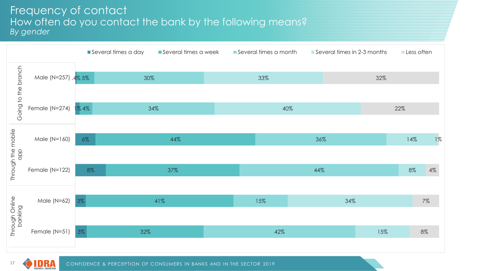#### Frequency of contact How often do you contact the bank by the following means? *By gender*



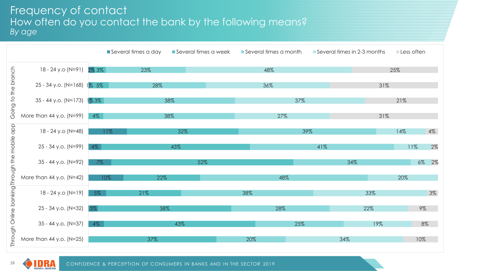#### Frequency of contact How often do you contact the bank by the following means? *By age*



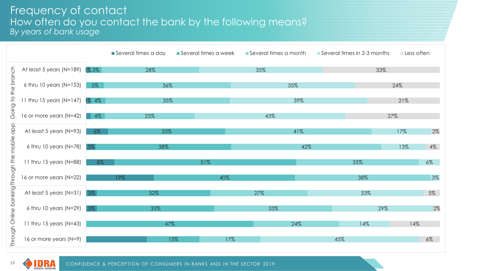#### Frequency of contact How often do you contact the bank by the following means? *By years of bank usage*



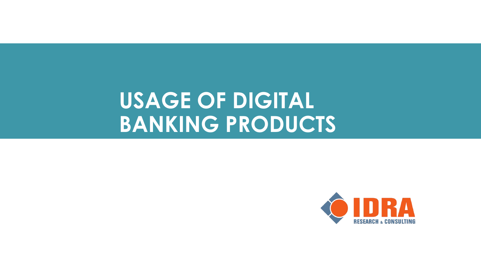# **USAGE OF DIGITAL BANKING PRODUCTS**

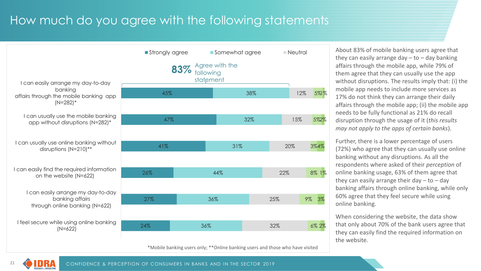## How much do you agree with the following statements



\*Mobile banking users only; \*\*Online banking users and those who have visited

About 83% of mobile banking users agree that they can easily arrange day  $-$  to  $-$  day banking affairs through the mobile app, while 79% of them agree that they can usually use the app without disruptions. The results imply that: (i) the mobile app needs to include more services as 17% do not think they can arrange their daily affairs through the mobile app; (ii) the mobile app needs to be fully functional as 21% do recall disruption through the usage of it (*this results may not apply to the apps of certain banks*).

Further, there is a lower percentage of users (72%) who agree that they can usually use online banking without any disruptions. As all the respondents where asked of their *perception* of online banking usage, 63% of them agree that they can easily arrange their day  $-$  to  $-$  day banking affairs through online banking, while only 60% agree that they feel secure while using online banking.

When considering the website, the data show that only about 70% of the bank users agree that they can easily find the required information on the website.

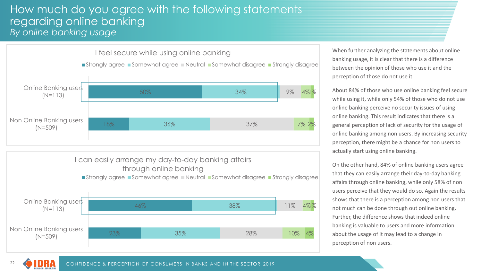#### How much do you agree with the following statements regarding online banking *By online banking usage*



When further analyzing the statements about online banking usage, it is clear that there is a difference between the opinion of those who use it and the perception of those do not use it.

About 84% of those who use online banking feel secure while using it, while only 54% of those who do not use online banking perceive no security issues of using online banking. This result indicates that there is a general perception of lack of security for the usage of online banking among non users. By increasing security perception, there might be a chance for non users to actually start using online banking.

On the other hand, 84% of online banking users agree that they can easily arrange their day-to-day banking affairs through online banking, while only 58% of non users perceive that they would do so. Again the results shows that there is a perception among non users that not much can be done through out online banking. Further, the difference shows that indeed online banking is valuable to users and more information about the usage of it may lead to a change in perception of non users.

22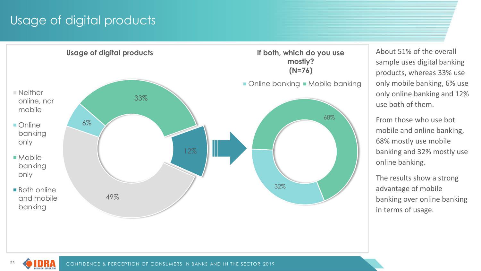## Usage of digital products



About 51% of the overall sample uses digital banking products, whereas 33% use only mobile banking, 6% use only online banking and 12% use both of them.

From those who use bot mobile and online banking, 68% mostly use mobile banking and 32% mostly use online banking.

The results show a strong advantage of mobile banking over online banking in terms of usage.

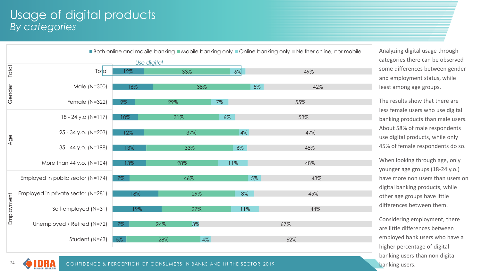#### Usage of digital products *By categories*

|            | Both online and mobile banking Mobile banking only Online banking only Deither online, nor mobile |       |     |       |       |     |  |  |
|------------|---------------------------------------------------------------------------------------------------|-------|-----|-------|-------|-----|--|--|
|            | Use digital                                                                                       |       |     |       |       |     |  |  |
| Total      | Total                                                                                             | 12%   | 33% |       | $6\%$ | 49% |  |  |
|            | Male (N=300)                                                                                      | 16%   | 38% |       | 5%    | 42% |  |  |
| Gender     | Female (N=322)                                                                                    | $9\%$ | 29% | $7\%$ |       | 55% |  |  |
| Age        | $18 - 24$ y.o (N=117)                                                                             | 10%   | 31% | $6\%$ |       | 53% |  |  |
|            | 25 - 34 y.o. (N=203)                                                                              | 12%   | 37% |       | $4\%$ | 47% |  |  |
|            | $35 - 44$ y.o. (N=198)                                                                            | 13%   | 33% |       | $6\%$ | 48% |  |  |
|            | More than 44 y.o. (N=104)                                                                         | 13%   | 28% |       | 11%   | 48% |  |  |
| Employment | Employed in public sector (N=174)                                                                 | $7\%$ | 46% |       | 5%    | 43% |  |  |
|            | Employed in private sector (N=281)                                                                | 18%   |     | 29%   | 8%    | 45% |  |  |
|            | Self-employed (N=31)                                                                              | 19%   |     | 27%   | 11%   | 44% |  |  |
|            | Unemployed / Retired (N=72)                                                                       | $7\%$ | 24% | 3%    |       | 67% |  |  |
|            | Student (N=63)                                                                                    | 5%    | 28% | $4\%$ |       | 62% |  |  |
|            |                                                                                                   |       |     |       |       |     |  |  |

Analyzing digital usage through categories there can be observed some differences between gender and employment status, while least among age groups.

The results show that there are less female users who use digital banking products than male users. About 58% of male respondents use digital products, while only 45% of female respondents do so.

When looking through age, only younger age groups (18-24 y.o.) have more non users than users on digital banking products, while other age groups have little differences between them.

Considering employment, there are little differences between employed bank users who have a higher percentage of digital banking users than non digital banking users.



CONFIDENCE & PERCEPTION OF CONSUMERS IN BANKS AND IN THE SECTOR 2019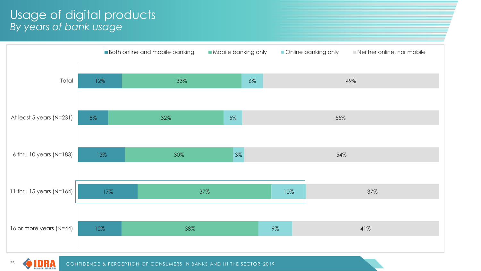#### Usage of digital products *By years of bank usage*





CONFIDENCE & PERCEPTION OF CONSUMERS IN BANKS AND IN THE SECTOR 2019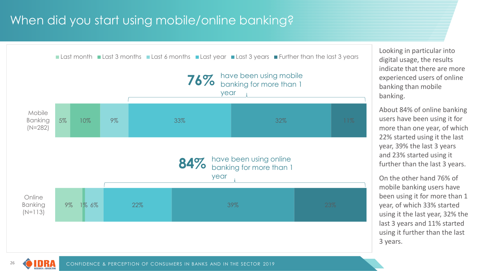## When did you start using mobile/online banking?



Looking in particular into digital usage, the results indicate that there are more experienced users of online banking than mobile banking.

About 84% of online banking users have been using it for more than one year, of which 22% started using it the last year, 39% the last 3 years and 23% started using it further than the last 3 years.

On the other hand 76% of mobile banking users have been using it for more than 1 year, of which 33% started using it the last year, 32% the last 3 years and 11% started using it further than the last 3 years.

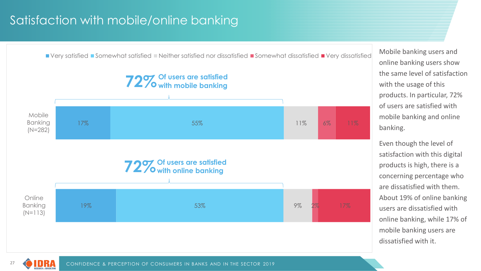## Satisfaction with mobile/online banking



Mobile banking users and online banking users show the same level of satisfaction with the usage of this products. In particular, 72% of users are satisfied with mobile banking and online banking.

Even though the level of satisfaction with this digital products is high, there is a concerning percentage who are dissatisfied with them. About 19% of online banking users are dissatisfied with online banking, while 17% of mobile banking users are dissatisfied with it.

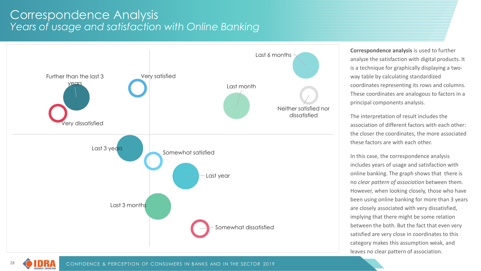#### Correspondence Analysis *Years of usage and satisfaction with Online Banking*



**Correspondence analysis** is used to further analyze the satisfaction with digital products. It is a technique for graphically displaying a twoway table by calculating standardized coordinates representing its rows and columns. These coordinates are analogous to factors in a principal components analysis.

The interpretation of result includes the association of different factors with each other: the closer the coordinates, the more associated these factors are with each other.

In this case, the correspondence analysis includes years of usage and satisfaction with online banking. The graph shows that there is no *clear pattern of association* between them. However, when looking closely, those who have been using online banking for more than 3 years are closely associated with very dissatisfied, implying that there might be some relation between the both. But the fact that even very satisfied are very close in coordinates to this category makes this assumption weak, and leaves no clear pattern of association.

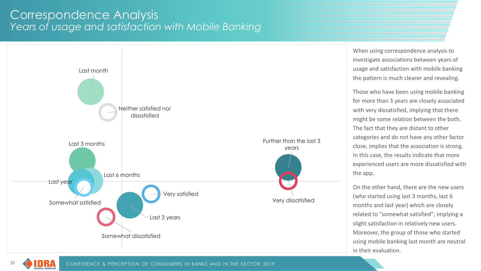#### Correspondence Analysis *Years of usage and satisfaction with Mobile Banking*



When using correspondence analysis to investigate associations between years of usage and satisfaction with mobile banking the pattern is much clearer and revealing.

Those who have been using mobile banking for more than 3 years are closely associated with very dissatisfied, implying that there might be some relation between the both. The fact that they are distant to other categories and do not have any other factor close, implies that the association is strong. In this case, the results indicate that more experienced users are more dissatisfied with the app.

On the other hand, there are the new users (who started using last 3 months, last 6 months and last year) which are closely related to "somewhat satisfied"; implying a slight satisfaction in relatively new users. Moreover, the group of those who started using mobile banking last month are neutral in their evaluation.

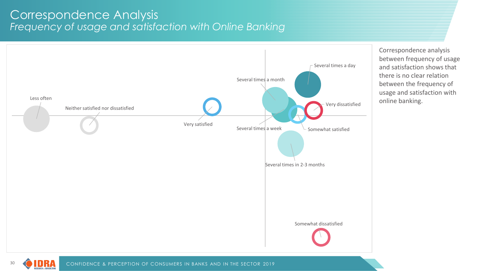#### Correspondence Analysis *Frequency of usage and satisfaction with Online Banking*



Correspondence analysis between frequency of usage and satisfaction shows that there is no clear relation between the frequency of usage and satisfaction with online banking.

LT 1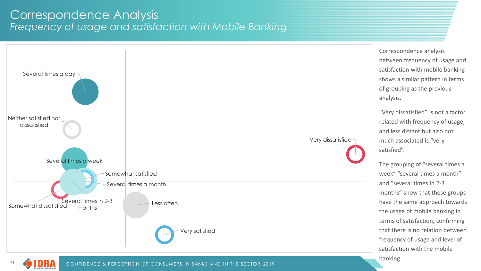#### Correspondence Analysis *Frequency of usage and satisfaction with Mobile Banking*



31

banking.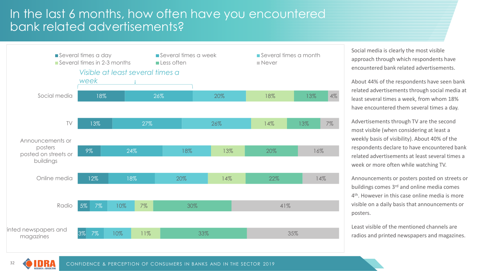## In the last 6 months, how often have you encountered bank related advertisements?



Social media is clearly the most visible approach through which respondents have encountered bank related advertisements.

About 44% of the respondents have seen bank related advertisements through social media at least several times a week, from whom 18% have encountered them several times a day.

Advertisements through TV are the second most visible (when considering at least a weekly basis of visibility). About 40% of the respondents declare to have encountered bank related advertisements at least several times a week or more often while watching TV.

Announcements or posters posted on streets or buildings comes 3<sup>rd</sup> and online media comes 4th. However in this case online media is more visible on a daily basis that announcements or posters.

Least visible of the mentioned channels are radios and printed newspapers and magazines.

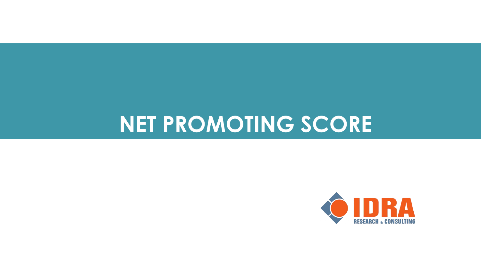# **NET PROMOTING SCORE**

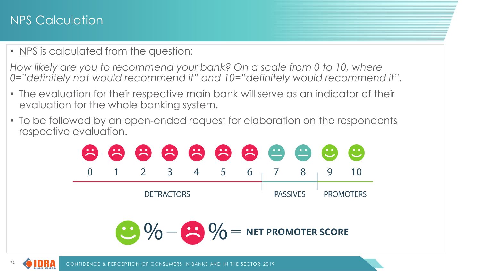## NPS Calculation

• NPS is calculated from the question:

*How likely are you to recommend your bank? On a scale from 0 to 10, where 0="definitely not would recommend it" and 10="definitely would recommend it".*

- The evaluation for their respective main bank will serve as an indicator of their evaluation for the whole banking system.
- To be followed by an open-ended request for elaboration on the respondents respective evaluation.



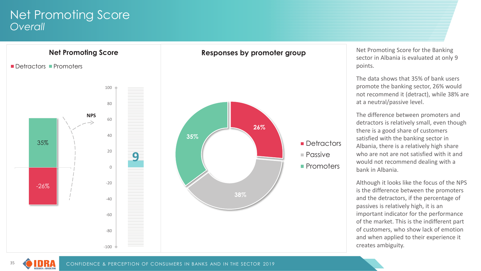#### Net Promoting Score *Overall*



Net Promoting Score for the Banking sector in Albania is evaluated at only 9 points.

The data shows that 35% of bank users promote the banking sector, 26% would not recommend it (detract), while 38% are at a neutral/passive level.

The difference between promoters and detractors is relatively small, even though there is a good share of customers satisfied with the banking sector in Albania, there is a relatively high share who are not are not satisfied with it and would not recommend dealing with a bank in Albania.

Although it looks like the focus of the NPS is the difference between the promoters and the detractors, if the percentage of passives is relatively high, it is an important indicator for the performance of the market. This is the indifferent part of customers, who show lack of emotion and when applied to their experience it creates ambiguity.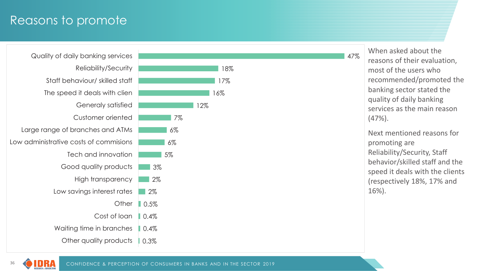### Reasons to promote



36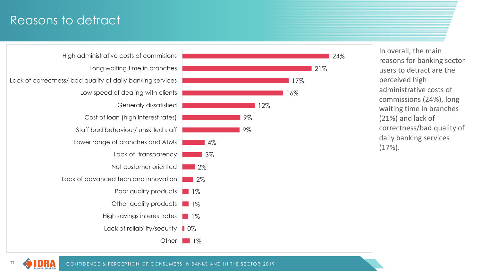## Reasons to detract



37

CONFIDENCE & PERCEPTION OF CONSUMERS IN BANKS AND IN THE SECTOR 2019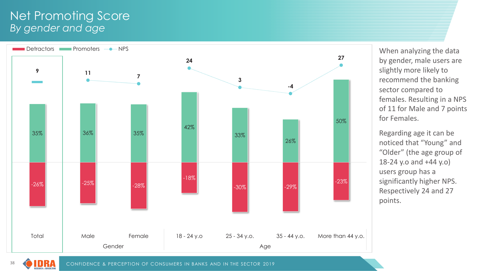#### Net Promoting Score *By gender and age*



When analyzing the data by gender, male users are slightly more likely to recommend the banking sector compared to females. Resulting in a NPS of 11 for Male and 7 points for Females.

Regarding age it can be noticed that "Young" and "Older" (the age group of 18-24 y.o and +44 y.o) users group has a significantly higher NPS. Respectively 24 and 27 points.

CONFIDENCE & PERCEPTION OF CONSUMERS IN BANKS AND IN THE SECTOR 2019

UMA **ESEARCH & CONSULTIN**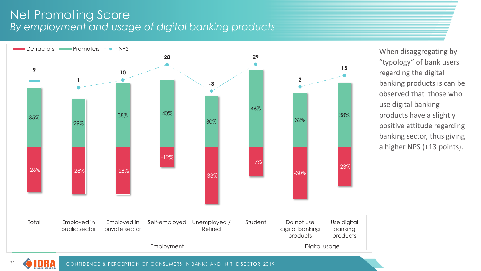#### Net Promoting Score *By employment and usage of digital banking products*



When disaggregating by "typology" of bank users regarding the digital banking products is can be observed that those who use digital banking products have a slightly positive attitude regarding banking sector, thus giving a higher NPS (+13 points).

UMA **SEARCH & CONSULT**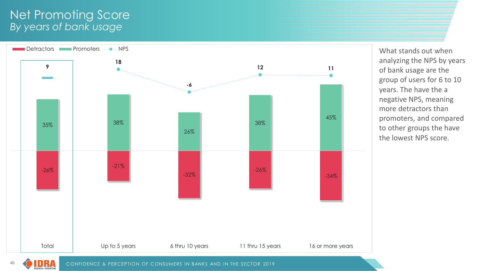#### Net Promoting Score *By years of bank usage*

UMA **ESEARCH & CONSULTING** 



What stands out when analyzing the NPS by years of bank usage are the group of users for 6 to 10 years. The have the a negative NPS, meaning more detractors than promoters, and compared to other groups the have the lowest NPS score.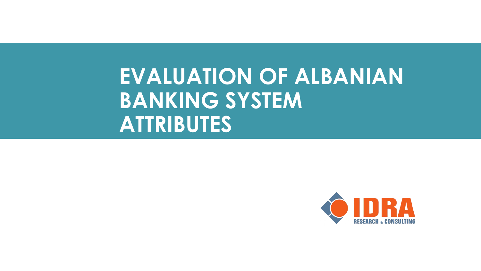# **EVALUATION OF ALBANIAN BANKING SYSTEM ATTRIBUTES**

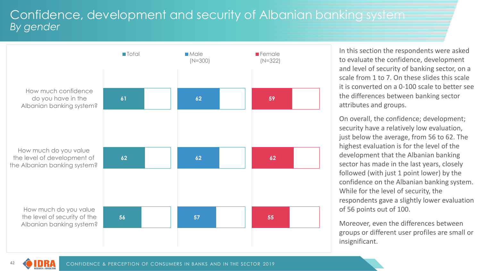### Confidence, development and security of Albanian banking system *By gender*



In this section the respondents were asked to evaluate the confidence, development and level of security of banking sector, on a scale from 1 to 7. On these slides this scale it is converted on a 0-100 scale to better see the differences between banking sector attributes and groups.

On overall, the confidence; development; security have a relatively low evaluation, just below the average, from 56 to 62. The highest evaluation is for the level of the development that the Albanian banking sector has made in the last years, closely followed (with just 1 point lower) by the confidence on the Albanian banking system. While for the level of security, the respondents gave a slightly lower evaluation of 56 points out of 100.

Moreover, even the differences between groups or different user profiles are small or insignificant.

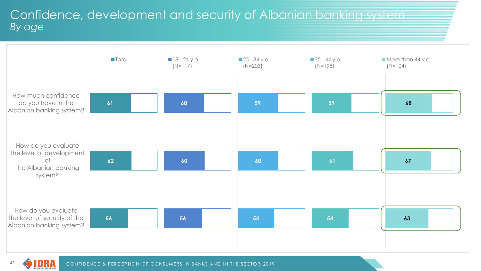## Confidence, development and security of Albanian banking system *By age*



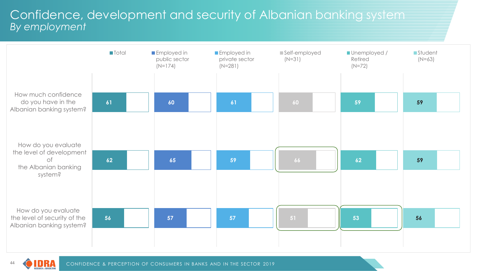### Confidence, development and security of Albanian banking system *By employment*



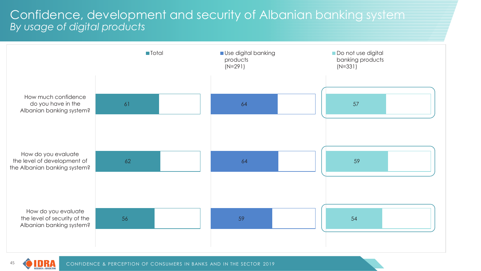#### Confidence, development and security of Albanian banking system *By usage of digital products*



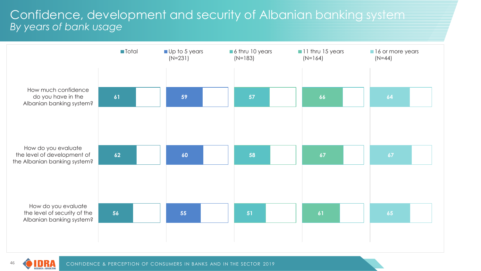#### Confidence, development and security of Albanian banking system *By years of bank usage*



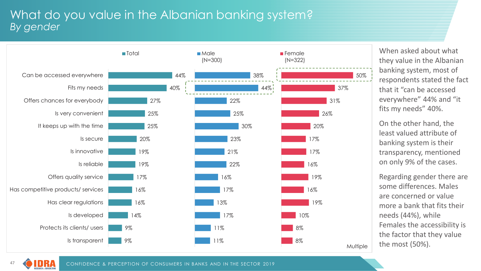### What do you value in the Albanian banking system? *By gender*



When asked about what they value in the Albanian banking system, most of respondents stated the fact that it "can be accessed everywhere" 44% and "it fits my needs" 40%.

On the other hand, the least valued attribute of banking system is their transparency, mentioned on only 9% of the cases.

Regarding gender there are some differences. Males are concerned or value more a bank that fits their needs (44%), while Females the accessibility is the factor that they value the most (50%).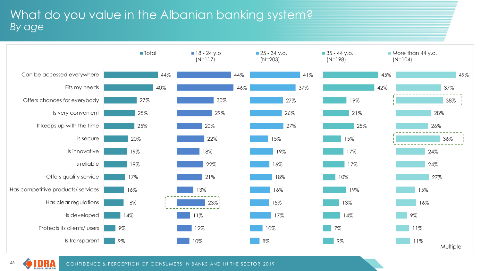## What do you value in the Albanian banking system? *By age*



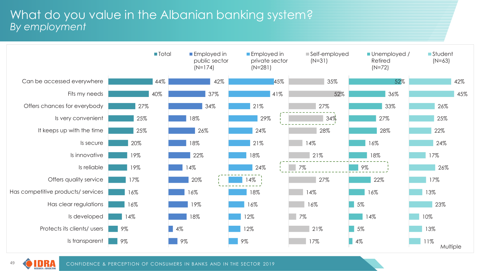#### What do you value in the Albanian banking system? *By employment*



49UMA ESEARCH & CONSULTING

CONFIDENCE & PERCEPTION OF CONSUMERS IN BANKS AND IN THE SECTOR 2019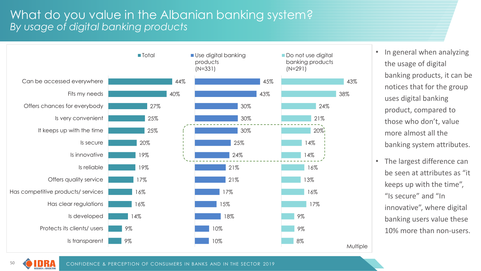### What do you value in the Albanian banking system? *By usage of digital banking products*



- In general when analyzing the usage of digital banking products, it can be notices that for the group uses digital banking product, compared to those who don't, value more almost all the banking system attributes.
- The largest difference can be seen at attributes as "it keeps up with the time", "Is secure" and "In innovative", where digital banking users value these 10% more than non-users.

CONFIDENCE & PERCEPTION OF CONSUMERS IN BANKS AND IN THE SECTOR 2019

50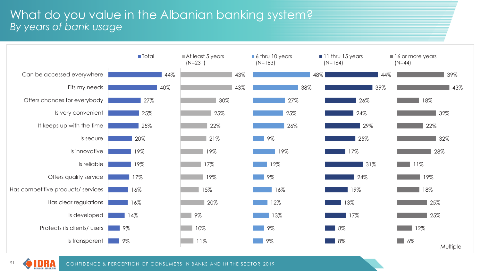### What do you value in the Albanian banking system? *By years of bank usage*



51LT 1 ESEARCH & CONSULTING

CONFIDENCE & PERCEPTION OF CONSUMERS IN BANKS AND IN THE SECTOR 2019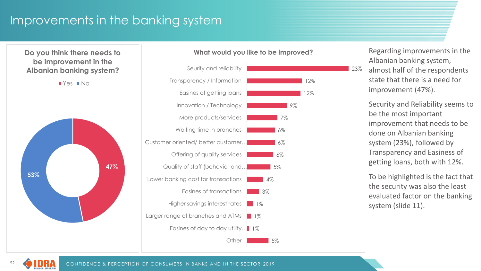## Improvements in the banking system

**Do you think there needs to be improvement in the Albanian banking system?**

 $Yes INo$ 





#### **What would you like to be improved?**

Regarding improvements in the Albanian banking system, almost half of the respondents state that there is a need for improvement (47%).

23%

Security and Reliability seems to be the most important improvement that needs to be done on Albanian banking system (23%), followed by Transparency and Easiness of getting loans, both with 12%.

To be highlighted is the fact that the security was also the least evaluated factor on the banking system (slide 11).